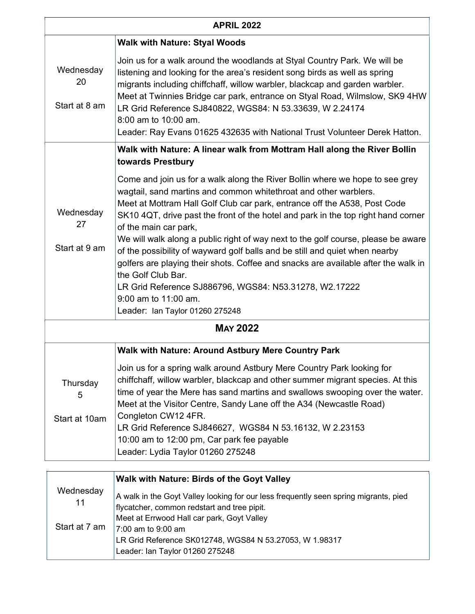| <b>APRIL 2022</b>                |                                                                                                                                                                                                                                                                                                                                                                                                                                                                                                                                                                                                                                                                                                                                                      |  |
|----------------------------------|------------------------------------------------------------------------------------------------------------------------------------------------------------------------------------------------------------------------------------------------------------------------------------------------------------------------------------------------------------------------------------------------------------------------------------------------------------------------------------------------------------------------------------------------------------------------------------------------------------------------------------------------------------------------------------------------------------------------------------------------------|--|
|                                  | <b>Walk with Nature: Styal Woods</b>                                                                                                                                                                                                                                                                                                                                                                                                                                                                                                                                                                                                                                                                                                                 |  |
| Wednesday<br>20<br>Start at 8 am | Join us for a walk around the woodlands at Styal Country Park. We will be<br>listening and looking for the area's resident song birds as well as spring<br>migrants including chiffchaff, willow warbler, blackcap and garden warbler.<br>Meet at Twinnies Bridge car park, entrance on Styal Road, Wilmslow, SK9 4HW<br>LR Grid Reference SJ840822, WGS84: N 53.33639, W 2.24174<br>8:00 am to 10:00 am.<br>Leader: Ray Evans 01625 432635 with National Trust Volunteer Derek Hatton.                                                                                                                                                                                                                                                              |  |
|                                  | Walk with Nature: A linear walk from Mottram Hall along the River Bollin<br>towards Prestbury                                                                                                                                                                                                                                                                                                                                                                                                                                                                                                                                                                                                                                                        |  |
| Wednesday<br>27<br>Start at 9 am | Come and join us for a walk along the River Bollin where we hope to see grey<br>wagtail, sand martins and common whitethroat and other warblers.<br>Meet at Mottram Hall Golf Club car park, entrance off the A538, Post Code<br>SK10 4QT, drive past the front of the hotel and park in the top right hand corner<br>of the main car park,<br>We will walk along a public right of way next to the golf course, please be aware<br>of the possibility of wayward golf balls and be still and quiet when nearby<br>golfers are playing their shots. Coffee and snacks are available after the walk in<br>the Golf Club Bar.<br>LR Grid Reference SJ886796, WGS84: N53.31278, W2.17222<br>$9:00$ am to $11:00$ am.<br>Leader: Ian Taylor 01260 275248 |  |
| <b>MAY 2022</b>                  |                                                                                                                                                                                                                                                                                                                                                                                                                                                                                                                                                                                                                                                                                                                                                      |  |
|                                  | <b>Walk with Nature: Around Astbury Mere Country Park</b>                                                                                                                                                                                                                                                                                                                                                                                                                                                                                                                                                                                                                                                                                            |  |
| Thursday<br>5<br>Start at 10am   | Join us for a spring walk around Astbury Mere Country Park looking for<br>chiffchaff, willow warbler, blackcap and other summer migrant species. At this<br>time of year the Mere has sand martins and swallows swooping over the water.<br>Meet at the Visitor Centre, Sandy Lane off the A34 (Newcastle Road)<br>Congleton CW12 4FR.<br>LR Grid Reference SJ846627, WGS84 N 53.16132, W 2.23153<br>10:00 am to 12:00 pm, Car park fee payable<br>Leader: Lydia Taylor 01260 275248                                                                                                                                                                                                                                                                 |  |

|                 | Walk with Nature: Birds of the Goyt Valley                                                                                                                                        |
|-----------------|-----------------------------------------------------------------------------------------------------------------------------------------------------------------------------------|
| Wednesday<br>11 | A walk in the Goyt Valley looking for our less frequently seen spring migrants, pied<br>flycatcher, common redstart and tree pipit.<br>Meet at Errwood Hall car park, Goyt Valley |
| Start at 7 am   | 7:00 am to 9:00 am<br>LR Grid Reference SK012748, WGS84 N 53.27053, W 1.98317<br>Leader: Ian Taylor 01260 275248                                                                  |